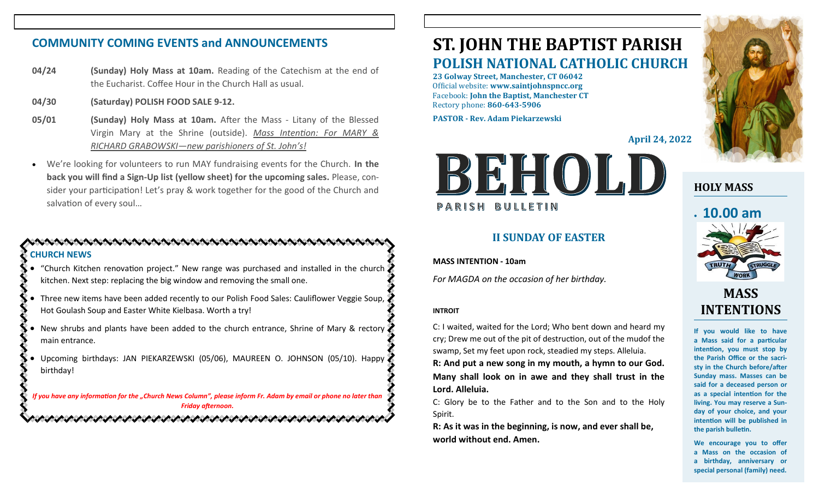### **COMMUNITY COMING EVENTS and ANNOUNCEMENTS**

- **04/24 (Sunday) Holy Mass at 10am.** Reading of the Catechism at the end of the Eucharist. Coffee Hour in the Church Hall as usual.
- **04/30 (Saturday) POLISH FOOD SALE 9-12.**
- **05/01 (Sunday) Holy Mass at 10am.** After the Mass Litany of the Blessed Virgin Mary at the Shrine (outside). *Mass Intention: For MARY & RICHARD GRABOWSKI—new parishioners of St. John's!*
- We're looking for volunteers to run MAY fundraising events for the Church. **In the back you will find a Sign-Up list (yellow sheet) for the upcoming sales.** Please, consider your participation! Let's pray & work together for the good of the Church and salvation of every soul…

### **CHURCH NEWS**

- "Church Kitchen renovation project." New range was purchased and installed in the church kitchen. Next step: replacing the big window and removing the small one.
- Three new items have been added recently to our Polish Food Sales: Cauliflower Veggie Soup, Hot Goulash Soup and Easter White Kielbasa. Worth a try!
- New shrubs and plants have been added to the church entrance, Shrine of Mary & rectory main entrance.
- Upcoming birthdays: JAN PIEKARZEWSKI (05/06), MAUREEN O. JOHNSON (05/10). Happy birthday!

*If you have any information for the "Church News Column", please inform Fr. Adam by email or phone no later than Friday afternoon.* いんけいかんけいかんけいかいかんけいかんけいかんけいかんけいか

# **ST. JOHN THE BAPTIST PARISH POLISH NATIONAL CATHOLIC CHURCH**

**23 Golway Street, Manchester, CT 06042** Official website: **www.saintjohnspncc.org** Facebook: **John the Baptist, Manchester CT** Rectory phone: **860-643-5906** 

**PASTOR - Rev. Adam Piekarzewski**

**April 24, 2022**



### **II SUNDAY OF EASTER**

**MASS INTENTION - 10am**

*For MAGDA on the occasion of her birthday.*

#### **INTROIT**

C: I waited, waited for the Lord; Who bent down and heard my cry; Drew me out of the pit of destruction, out of the mudof the swamp, Set my feet upon rock, steadied my steps. Alleluia.

**R: And put a new song in my mouth, a hymn to our God. Many shall look on in awe and they shall trust in the Lord. Alleluia.**

C: Glory be to the Father and to the Son and to the Holy Spirit.

**R: As it was in the beginning, is now, and ever shall be, world without end. Amen.**



### **HOLY MASS**

# • **10.00 am**



## **MASS INTENTIONS**

**If you would like to have a Mass said for a particular intention, you must stop by the Parish Office or the sacristy in the Church before/after Sunday mass. Masses can be said for a deceased person or as a special intention for the living. You may reserve a Sunday of your choice, and your intention will be published in the parish bulletin.**

**We encourage you to offer a Mass on the occasion of a birthday, anniversary or special personal (family) need.**